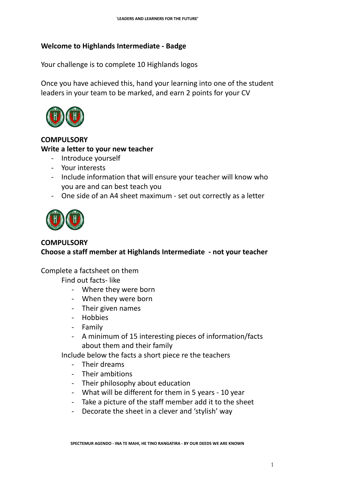## **Welcome to Highlands Intermediate - Badge**

Your challenge is to complete 10 Highlands logos

Once you have achieved this, hand your learning into one of the student leaders in your team to be marked, and earn 2 points for your CV



# **COMPULSORY Write a letter to your new teacher**

- Introduce yourself
- Your interests
- Include information that will ensure your teacher will know who you are and can best teach you
- One side of an A4 sheet maximum set out correctly as a letter



## **COMPULSORY**

**Choose a staff member at Highlands Intermediate - not your teacher**

## Complete a factsheet on them

Find out facts- like

- Where they were born
- When they were born
- Their given names
- Hobbies
- Family
- A minimum of 15 interesting pieces of information/facts about them and their family

Include below the facts a short piece re the teachers

- Their dreams
- Their ambitions
- Their philosophy about education
- What will be different for them in 5 years 10 year
- Take a picture of the staff member add it to the sheet
- Decorate the sheet in a clever and 'stylish' way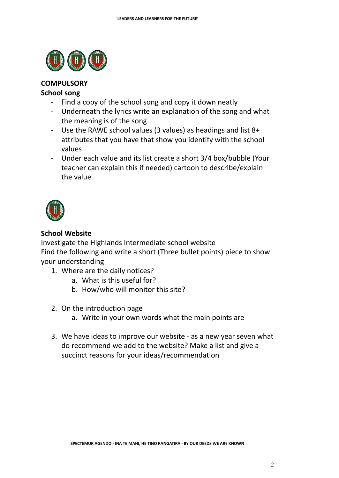

#### **COMPULSORY**

#### **School song**

- Find a copy of the school song and copy it down neatly
- Underneath the lyrics write an explanation of the song and what the meaning is of the song
- Use the RAWE school values (3 values) as headings and list 8+ attributes that you have that show you identify with the school values
- Under each value and its list create a short 3/4 box/bubble (Your teacher can explain this if needed) cartoon to describe/explain the value



#### **School Website**

Investigate the Highlands Intermediate school website Find the following and write a short (Three bullet points) piece to show your understanding

- 1. Where are the daily notices?
	- a. What is this useful for?
	- b. How/who will monitor this site?
- 2. On the introduction page
	- a. Write in your own words what the main points are
- 3. We have ideas to improve our website as a new year seven what do recommend we add to the website? Make a list and give a succinct reasons for your ideas/recommendation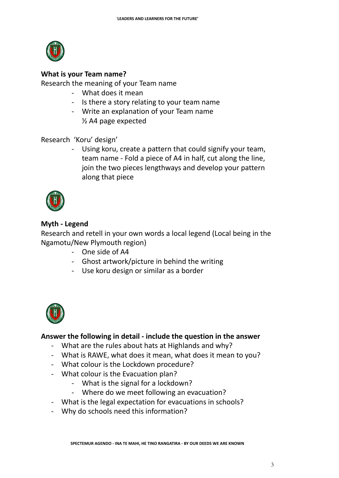

#### **What is your Team name?**

Research the meaning of your Team name

- What does it mean
- Is there a story relating to your team name
- Write an explanation of your Team name ½ A4 page expected

Research 'Koru' design'

- Using koru, create a pattern that could signify your team, team name - Fold a piece of A4 in half, cut along the line, join the two pieces lengthways and develop your pattern along that piece



## **Myth - Legend**

Research and retell in your own words a local legend (Local being in the Ngamotu/New Plymouth region)

- One side of A4
- Ghost artwork/picture in behind the writing
- Use koru design or similar as a border



## **Answer the following in detail - include the question in the answer**

- What are the rules about hats at Highlands and why?
- What is RAWE, what does it mean, what does it mean to you?
- What colour is the Lockdown procedure?
- What colour is the Evacuation plan?
	- What is the signal for a lockdown?
	- Where do we meet following an evacuation?
- What is the legal expectation for evacuations in schools?
- Why do schools need this information?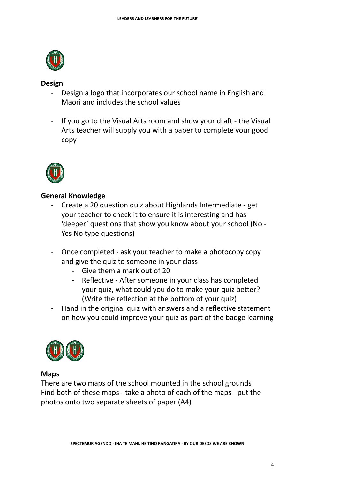

#### **Design**

- Design a logo that incorporates our school name in English and Maori and includes the school values
- If you go to the Visual Arts room and show your draft the Visual Arts teacher will supply you with a paper to complete your good copy



## **General Knowledge**

- Create a 20 question quiz about Highlands Intermediate get your teacher to check it to ensure it is interesting and has 'deeper' questions that show you know about your school (No - Yes No type questions)
- Once completed ask your teacher to make a photocopy copy and give the quiz to someone in your class
	- Give them a mark out of 20
	- Reflective After someone in your class has completed your quiz, what could you do to make your quiz better? (Write the reflection at the bottom of your quiz)
- Hand in the original quiz with answers and a reflective statement on how you could improve your quiz as part of the badge learning



#### **Maps**

There are two maps of the school mounted in the school grounds Find both of these maps - take a photo of each of the maps - put the photos onto two separate sheets of paper (A4)